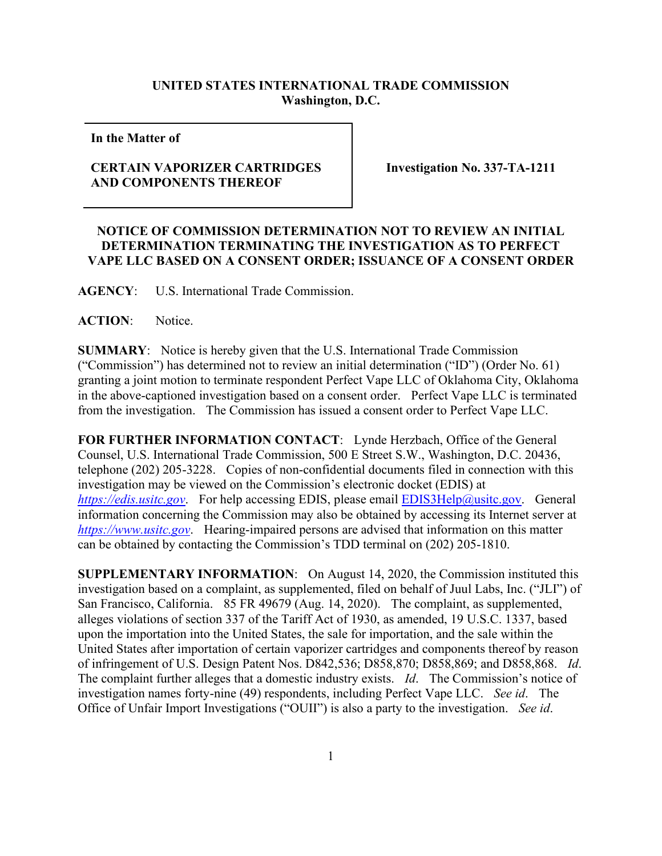## **UNITED STATES INTERNATIONAL TRADE COMMISSION Washington, D.C.**

**In the Matter of** 

## **CERTAIN VAPORIZER CARTRIDGES AND COMPONENTS THEREOF**

**Investigation No. 337-TA-1211**

## **NOTICE OF COMMISSION DETERMINATION NOT TO REVIEW AN INITIAL DETERMINATION TERMINATING THE INVESTIGATION AS TO PERFECT VAPE LLC BASED ON A CONSENT ORDER; ISSUANCE OF A CONSENT ORDER**

**AGENCY**: U.S. International Trade Commission.

## **ACTION**: Notice.

**SUMMARY**: Notice is hereby given that the U.S. International Trade Commission ("Commission") has determined not to review an initial determination ("ID") (Order No. 61) granting a joint motion to terminate respondent Perfect Vape LLC of Oklahoma City, Oklahoma in the above-captioned investigation based on a consent order. Perfect Vape LLC is terminated from the investigation. The Commission has issued a consent order to Perfect Vape LLC.

**FOR FURTHER INFORMATION CONTACT**: Lynde Herzbach, Office of the General Counsel, U.S. International Trade Commission, 500 E Street S.W., Washington, D.C. 20436, telephone (202) 205-3228. Copies of non-confidential documents filed in connection with this investigation may be viewed on the Commission's electronic docket (EDIS) at *[https://edis.usitc.gov](https://edis.usitc.gov/).* For help accessing EDIS, please email [EDIS3Help@usitc.gov.](mailto:EDIS3Help@usitc.gov) General information concerning the Commission may also be obtained by accessing its Internet server at *[https://www.usitc.gov](https://www.usitc.gov/)*. Hearing-impaired persons are advised that information on this matter can be obtained by contacting the Commission's TDD terminal on (202) 205-1810.

**SUPPLEMENTARY INFORMATION**: On August 14, 2020, the Commission instituted this investigation based on a complaint, as supplemented, filed on behalf of Juul Labs, Inc. ("JLI") of San Francisco, California. 85 FR 49679 (Aug. 14, 2020). The complaint, as supplemented, alleges violations of section 337 of the Tariff Act of 1930, as amended, 19 U.S.C. 1337, based upon the importation into the United States, the sale for importation, and the sale within the United States after importation of certain vaporizer cartridges and components thereof by reason of infringement of U.S. Design Patent Nos. D842,536; D858,870; D858,869; and D858,868. *Id*. The complaint further alleges that a domestic industry exists. *Id*. The Commission's notice of investigation names forty-nine (49) respondents, including Perfect Vape LLC. *See id*. The Office of Unfair Import Investigations ("OUII") is also a party to the investigation. *See id*.